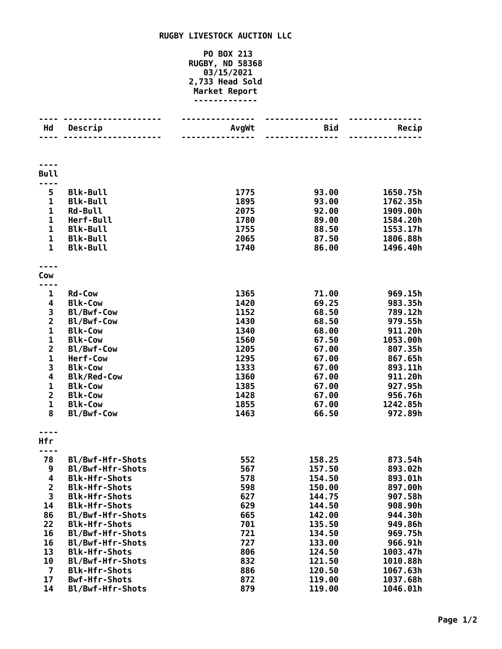## **RUGBY LIVESTOCK AUCTION LLC**

## **PO BOX 213 RUGBY, ND 58368 03/15/2021 2,733 Head Sold Market Report -------------**

|                              | <u>.</u>                                     |              |                  |                    |
|------------------------------|----------------------------------------------|--------------|------------------|--------------------|
| Hd                           | Descrip<br>---------                         | AvgWt        | <b>Bid</b>       | Recip              |
|                              |                                              | -----        |                  |                    |
|                              |                                              |              |                  |                    |
|                              |                                              |              |                  |                    |
| <b>Bull</b>                  |                                              |              |                  |                    |
| 5                            | <b>Blk-Bull</b>                              | 1775         | 93.00            | 1650.75h           |
| 1                            | <b>Blk-Bull</b>                              | 1895         | 93.00            | 1762.35h           |
| $\mathbf 1$                  | <b>Rd-Bull</b>                               | 2075         | 92.00            | 1909.00h           |
| $\mathbf{1}$                 | Herf-Bull                                    | 1780         | 89.00            | 1584.20h           |
| $\mathbf 1$                  | <b>Blk-Bull</b>                              | 1755         | 88.50            | 1553.17h           |
| $\mathbf{1}$<br>$\mathbf{1}$ | <b>Blk-Bull</b>                              | 2065         | 87.50            | 1806.88h           |
|                              | <b>Blk-Bull</b>                              | 1740         | 86.00            | 1496.40h           |
|                              |                                              |              |                  |                    |
| Cow<br>----                  |                                              |              |                  |                    |
| 1                            | <b>Rd-Cow</b>                                | 1365         | 71.00            | 969.15h            |
| 4                            | <b>Blk-Cow</b>                               | 1420         | 69.25            | 983.35h            |
|                              | Bl/Bwf-Cow                                   | 1152         | 68.50            | 789.12h            |
| $\frac{3}{2}$                | Bl/Bwf-Cow                                   | 1430         | 68.50            | 979.55h            |
| $\mathbf 1$                  | <b>Blk-Cow</b>                               | 1340         | 68.00            | 911.20h            |
| $\mathbf 1$                  | <b>Blk-Cow</b>                               | 1560         | 67.50            | 1053.00h           |
| $\overline{\mathbf{c}}$      | Bl/Bwf-Cow                                   | 1205         | 67.00            | 807.35h            |
| $\mathbf 1$                  | Herf-Cow                                     | 1295         | 67.00            | 867.65h            |
| 3<br>4                       | <b>Blk-Cow</b>                               | 1333<br>1360 | 67.00            | 893.11h<br>911.20h |
| $\mathbf 1$                  | <b>Blk/Red-Cow</b><br><b>Blk-Cow</b>         | 1385         | 67.00<br>67.00   | 927.95h            |
| $\overline{\mathbf{c}}$      | <b>Blk-Cow</b>                               | 1428         | 67.00            | 956.76h            |
| $\mathbf 1$                  | <b>Blk-Cow</b>                               | 1855         | 67.00            | 1242.85h           |
| 8                            | Bl/Bwf-Cow                                   | 1463         | 66.50            | 972.89h            |
|                              |                                              |              |                  |                    |
| Hfr                          |                                              |              |                  |                    |
| ----                         |                                              |              |                  |                    |
| 78                           | Bl/Bwf-Hfr-Shots                             | 552          | 158.25           | 873.54h            |
| 9                            | Bl/Bwf-Hfr-Shots                             | 567          | 157.50           | 893.02h            |
| 4                            | <b>Blk-Hfr-Shots</b>                         | 578          | 154.50           | 893.01h            |
| $\mathbf{2}$<br>3            | <b>Blk-Hfr-Shots</b><br><b>Blk-Hfr-Shots</b> | 598<br>627   | 150.00<br>144.75 | 897.00h<br>907.58h |
| 14                           | <b>Blk-Hfr-Shots</b>                         | 629          | 144.50           | 908.90h            |
| 86                           | Bl/Bwf-Hfr-Shots                             | 665          | 142.00           | 944.30h            |
| 22                           | <b>Blk-Hfr-Shots</b>                         | 701          | 135.50           | 949.86h            |
| 16                           | Bl/Bwf-Hfr-Shots                             | 721          | 134.50           | 969.75h            |
| 16                           | Bl/Bwf-Hfr-Shots                             | 727          | 133.00           | 966.91h            |
| 13                           | <b>Blk-Hfr-Shots</b>                         | 806          | 124.50           | 1003.47h           |
| 10                           | Bl/Bwf-Hfr-Shots                             | 832          | 121.50           | 1010.88h           |
| $\overline{\mathbf{z}}$      | <b>Blk-Hfr-Shots</b>                         | 886          | 120.50           | 1067.63h           |
| 17                           | <b>Bwf-Hfr-Shots</b>                         | 872          | 119.00           | 1037.68h           |
| 14                           | Bl/Bwf-Hfr-Shots                             | 879          | 119.00           | 1046.01h           |